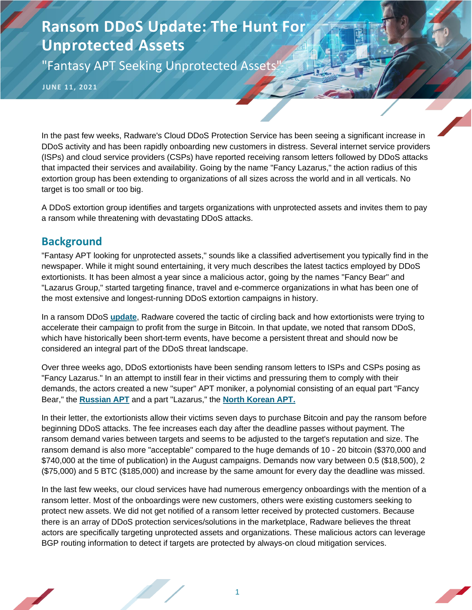"Fantasy APT Seeking Unprotected Assets'

**JUNE 11, 2021**

In the past few weeks, Radware's Cloud DDoS Protection Service has been seeing a significant increase in DDoS activity and has been rapidly onboarding new customers in distress. Several internet service providers (ISPs) and cloud service providers (CSPs) have reported receiving ransom letters followed by DDoS attacks that impacted their services and availability. Going by the name "Fancy Lazarus," the action radius of this extortion group has been extending to organizations of all sizes across the world and in all verticals. No target is too small or too big.

A DDoS extortion group identifies and targets organizations with unprotected assets and invites them to pay a ransom while threatening with devastating DDoS attacks.

### **Background**

"Fantasy APT looking for unprotected assets," sounds like a classified advertisement you typically find in the newspaper. While it might sound entertaining, it very much describes the latest tactics employed by DDoS extortionists. It has been almost a year since a malicious actor, going by the names "Fancy Bear" and "Lazarus Group," started targeting finance, travel and e-commerce organizations in what has been one of the most extensive and longest-running DDoS extortion campaigns in history.

In a ransom DDoS **[update](https://www.radware.com/security/ddos-threats-attacks/threat-advisories-attack-reports/ddos-extortions-back)**, Radware covered the tactic of circling back and how extortionists were trying to accelerate their campaign to profit from the surge in Bitcoin. In that update, we noted that ransom DDoS, which have historically been short-term events, have become a persistent threat and should now be considered an integral part of the DDoS threat landscape.

Over three weeks ago, DDoS extortionists have been sending ransom letters to ISPs and CSPs posing as "Fancy Lazarus." In an attempt to instill fear in their victims and pressuring them to comply with their demands, the actors created a new "super" APT moniker, a polynomial consisting of an equal part "Fancy Bear," the **[Russian APT](https://hackersalmanac.radware.com/)** and a part "Lazarus," the **[North Korean APT.](https://hackersalmanac.radware.com/)**

In their letter, the extortionists allow their victims seven days to purchase Bitcoin and pay the ransom before beginning DDoS attacks. The fee increases each day after the deadline passes without payment. The ransom demand varies between targets and seems to be adjusted to the target's reputation and size. The ransom demand is also more "acceptable" compared to the huge demands of 10 - 20 bitcoin (\$370,000 and \$740,000 at the time of publication) in the August campaigns. Demands now vary between 0.5 (\$18,500), 2 (\$75,000) and 5 BTC (\$185,000) and increase by the same amount for every day the deadline was missed.

In the last few weeks, our cloud services have had numerous emergency onboardings with the mention of a ransom letter. Most of the onboardings were new customers, others were existing customers seeking to protect new assets. We did not get notified of a ransom letter received by protected customers. Because there is an array of DDoS protection services/solutions in the marketplace, Radware believes the threat actors are specifically targeting unprotected assets and organizations. These malicious actors can leverage BGP routing information to detect if targets are protected by always-on cloud mitigation services.

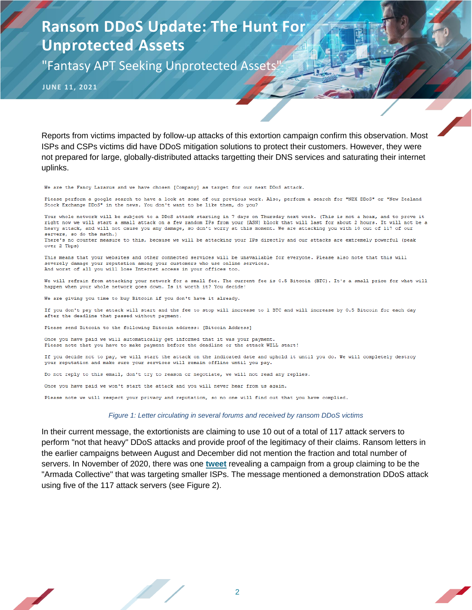"Fantasy APT Seeking Unprotected Assets'

**JUNE 11, 2021**

Reports from victims impacted by follow-up attacks of this extortion campaign confirm this observation. Most ISPs and CSPs victims did have DDoS mitigation solutions to protect their customers. However, they were not prepared for large, globally-distributed attacks targetting their DNS services and saturating their internet uplinks.

We are the Fancy Lazarus and we have chosen [Company] as target for our next DDoS attack.

Please perform a google search to have a look at some of our previous work. Also, perform a search for "NZX DDoS" or "New Zealand Stock Exchange DDoS" in the news. You don't want to be like them, do you?

Your whole network will be subject to a DDoS attack starting in 7 days on Thursday next week. (This is not a hoax, and to prove it right now we will start a small attack on a few random IPs from your [ASN] block that will last for about 2 hours. It will not be a heavy attack, and will not cause you any damage, so don't worry at this moment. We are attacking you with 10 out of 117 of our servers, so do the math.)

There's no counter measure to this, because we will be attacking your IPs directly and our attacks are extremely powerful (peak over 2 Tbps)

This means that your websites and other connected services will be unavailable for everyone. Please also note that this will severely damage your reputation among your customers who use online services. And worst of all you will lose Internet access in your offices too.

We will refrain from attacking your network for a small fee. The current fee is 0.5 Bitcoin (BTC). It's a small price for what will happen when your whole network goes down. Is it worth it? You decide!

We are giving you time to buy Bitcoin if you don't have it already.

If you don't pay the attack will start and the fee to stop will increase to 1 BTC and will increase by 0.5 Bitcoin for each day after the deadline that passed without payment.

Please send Bitcoin to the following Bitcoin address: [Bitcoin Address]

Once you have paid we will automatically get informed that it was your payment. Please note that you have to make payment before the deadline or the attack WILL start!

If you decide not to pay, we will start the attack on the indicated date and uphold it until you do. We will completely destroy your reputation and make sure your services will remain offline until you pay.

Do not reply to this email, don't try to reason or negotiate, we will not read any replies.

Once you have paid we won't start the attack and you will never hear from us again.

Please note we will respect your privacy and reputation, so no one will find out that you have complied.

#### *Figure 1: Letter circulating in several forums and received by ransom DDoS victims*

In their current message, the extortionists are claiming to use 10 out of a total of 117 attack servers to perform "not that heavy" DDoS attacks and provide proof of the legitimacy of their claims. Ransom letters in the earlier campaigns between August and December did not mention the fraction and total number of servers. In November of 2020, there was one **[tweet](https://twitter.com/troutman/status/1328383938209984513)** revealing a campaign from a group claiming to be the "Armada Collective" that was targeting smaller ISPs. The message mentioned a demonstration DDoS attack using five of the 117 attack servers (see [Figure 2\)](#page-2-0).

2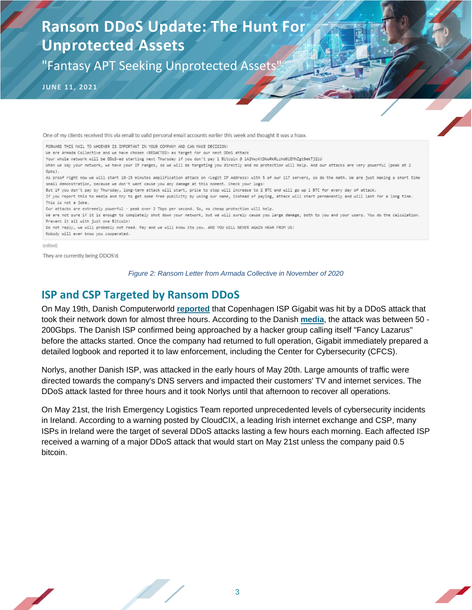"Fantasy APT Seeking Unprotected Assets'

**JUNE 11, 2021**

One of my clients received this via email to valid personal email accounts earlier this week and thought it was a hoax.

FORWARD THIS MAIL TO WHOEVER IS IMPORTANT IN YOUR COMPANY AND CAN MAKE DECISION!

We are Armada Collective and we have chosen <REDACTED> as target for our next DDoS attack

Your whole network will be DDoS-ed starting next Thursday if you don't pay 1 Bitcoin @ 1A2VwyKtDWuRkRLzhd6iEMhZgt9ekTj2iU

When we say your network, we have your IP ranges, so we will be targeting you directly and no protection will help. And our attacks are very powerful (peak at 2 Gpbs).

As proof right now we will start 10-15 minutes amplification attack on <Legit IP Address> with 5 of our 117 servers, so do the math. We are just making a short time small demonstration, because we don't want cause you any damage at this moment. Check your logs!

But if you don't pay by Thursday, long-term attack will start, price to stop will increase to 2 BTC and will go up 1 BTC for every day of attack.

If you report this to media and try to get some free publicity by using our name, instead of paying, attack will start permanently and will last for a long time. This is not a joke.

Our attacks are extremely powerful - peak over 2 Tbps per second. So, no cheap protection will help.

We are not sure if it is enough to completely shut down your network, but we will surely cause you large damage, both to you and your users. You do the calculation. Prevent it all with just one Bitcoin!

Do not reply, we will probably not read. Pay and we will know its you. AND YOU WILL NEVER AGAIN HEAR FROM US!

Nobody will ever know you cooperated.

(edited)

<span id="page-2-0"></span>They are currently being DDOS'd.

*Figure 2: Ransom Letter from Armada Collective in November of 2020*

### **ISP and CSP Targeted by Ransom DDoS**

On May 19th, Danish Computerworld **[reported](https://www.computerworld.dk/art/256599/norlys-paa-vej-med-politianmeldelse-efter-kaempe-ddos-angreb-saadan-fandt-torsdagens-angreb-sted)** that Copenhagen ISP Gigabit was hit by a DDoS attack that took their network down for almost three hours. According to the Danish **[media](https://www.computerworld.dk/art/256615/efter-stort-ddos-angreb-langer-gigabit-direktoer-ud-efter-offentlige-myndigheder)**, the attack was between 50 - 200Gbps. The Danish ISP confirmed being approached by a hacker group calling itself "Fancy Lazarus" before the attacks started. Once the company had returned to full operation, Gigabit immediately prepared a detailed logbook and reported it to law enforcement, including the Center for Cybersecurity (CFCS).

Norlys, another Danish ISP, was attacked in the early hours of May 20th. Large amounts of traffic were directed towards the company's DNS servers and impacted their customers' TV and internet services. The DDoS attack lasted for three hours and it took Norlys until that afternoon to recover all operations.

On May 21st, the Irish Emergency Logistics Team reported unprecedented levels of cybersecurity incidents in Ireland. According to a warning posted by CloudCIX, a leading Irish internet exchange and CSP, many ISPs in Ireland were the target of several DDoS attacks lasting a few hours each morning. Each affected ISP received a warning of a major DDoS attack that would start on May 21st unless the company paid 0.5 bitcoin.

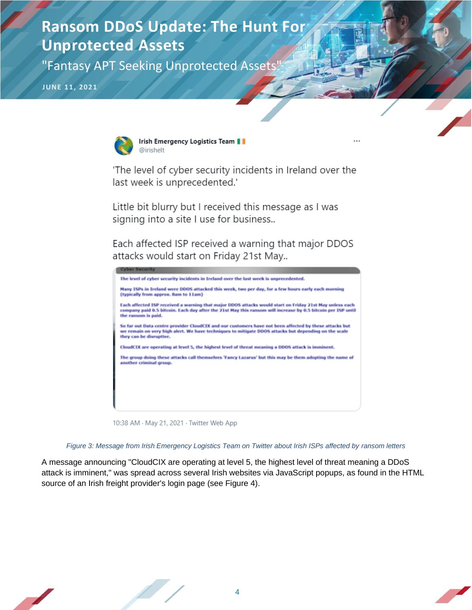"Fantasy APT Seeking Unprotected Assets"

**JUNE 11, 2021**



Irish Emergency Logistics Team | @irishelt

'The level of cyber security incidents in Ireland over the last week is unprecedented.'

Little bit blurry but I received this message as I was signing into a site I use for business..

Each affected ISP received a warning that major DDOS attacks would start on Friday 21st May..



10:38 AM · May 21, 2021 · Twitter Web App



A message announcing "CloudCIX are operating at level 5, the highest level of threat meaning a DDoS attack is imminent," was spread across several Irish websites via JavaScript popups, as found in the HTML source of an Irish freight provider's login page (see [Figure 4\)](#page-4-0).

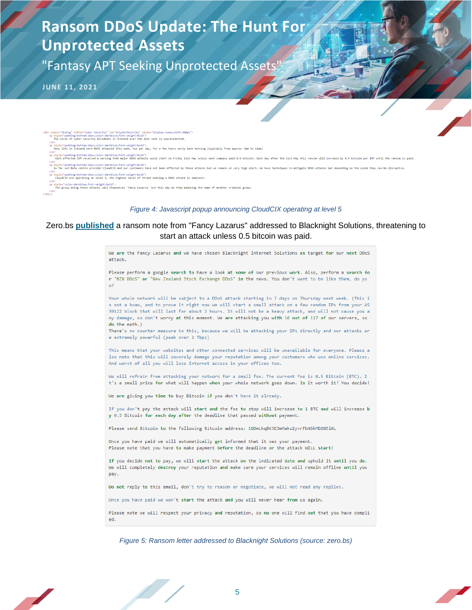"Fantasy APT Seeking Unprotected Assets"

**JUNE 11, 2021**

- cdiv class="dialog" title="Cyber Security" id="dvCyberSecurity" style="display:none;width:500px")<br>p style="padding-bottom:iOpx;color:darkblue;font-weight:bold"><br>The level of cyber security incidents in Ireland over the la
- 
- p><br>| style="padding-bottom:10px;color:darkblue;font-weight:bold"><br>|Many ISPs in Ireland were DDOS attacked this week, two per day, for a few hours early each morning (typically from approx. 8am to 11am)<br>|-
- 
- ۰/۲۰/Le="padding-bottom:10px;color:darkblue;font-weight:bold"><br>Each affected ISP received a warning that major DDOS attacks would start on Friday 21st May vnless each company paid 0.5 bitcoin. Each day after the 21st May
- .<br>.<br>So far put Data centre provider CloudCIX and our customers have not been affected by these attacks but we remain on very high alert, We have techniques to mitigate DOOS attacks but depending on the scale they can be di
- rryle="padding-bottom:10px;color:darkblue;font-weight:bold"><br>-CloudCIX are operating at level 5, the highest level of threat meaning a DDOS attack is imminent.<br>o>
- rry<br>style="colonidarkblue;font-weight:bold"><br>The group doing these attacks call themselves 'Fancy Lazarus' but this may be them adopting the name of another criminal group.

#### *Figure 4: Javascript popup announcing CloudCIX operating at level 5*

#### <span id="page-4-0"></span>Zero.bs **[published](https://zero.bs/collection-of-extortionransom-mails.html)** a ransom note from "Fancy Lazarus" addressed to Blacknight Solutions, threatening to start an attack unless 0.5 bitcoin was paid.

We are the Fancy Lazarus and we have chosen Blacknight Internet Solutions as target for our next DDoS attack. Please perform a google search to have a look at some of our previous work. Also, perform a search fo r "NZX DDoS" or "New Zealand Stock Exchange DDoS" in the news. You don't want to be like them, do yo  $u$ ? Your whole network will be subject to a DDoS attack starting in 7 days on Thursday next week. (This i s not a hoax, and to prove it right now we will start a small attack on a few random IPs from your AS 39122 block that will last for about 2 hours. It will not be a heavy attack, and will not cause you a

ny damage, so don't worry at this moment. We are attacking you with 10 out of 117 of our servers, so do the math.)

There's no counter measure to this, because we will be attacking your IPs directly and our attacks ar e extremely powerful (peak over 2 Tbps)

This means that your websites and other connected services will be unavailable for everyone. Please a Iso note that this will severely damage your reputation among your customers who use online services. And worst of all you will lose Internet access in your offices too.

We will refrain from attacking your network for a small fee. The current fee is 0.5 Bitcoin (BTC). I t's a small price for what will happen when your whole network goes down. Is it worth it? You decide!

We are giving you time to buy Bitcoin if you don't have it already.

If you don't pay the attack will start and the fee to stop will increase to 1 BTC and will increase b y 0.5 Bitcoin for each day after the deadline that passed without payment.

Please send Bitcoin to the following Bitcoin address: 18DmLkqBKJD3mMakz2yvrFbNSkMD2N5iXL

Once you have paid we will automatically get informed that it was your payment. Please note that you have to make payment before the deadline or the attack WILL start!

If you decide not to pay, we will start the attack on the indicated date and uphold it until you do. We will completely destroy your reputation and make sure your services will remain offline until you pay.

Do not reply to this email, don't try to reason or negotiate, we will not read any replies.

Once you have paid we won't start the attack and you will never hear from us again.

Please note we will respect your privacy and reputation, so no one will find out that you have compli ed.

*Figure 5: Ransom letter addressed to Blacknight Solutions (source: zero.bs)*

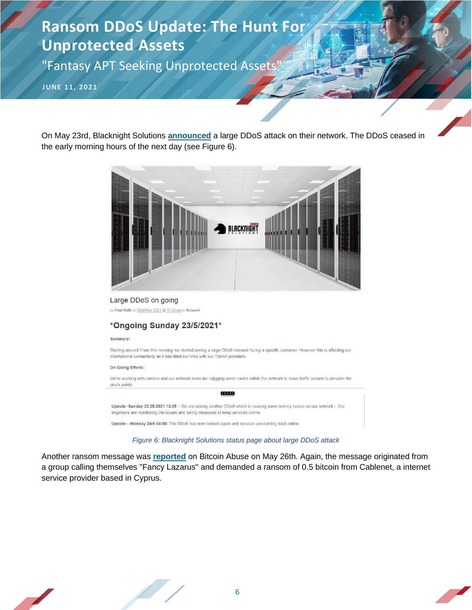"Fantasy APT Seeking Unprotected Assets"

**JUNE 11, 2021**

On May 23rd, Blacknight Solutions **[announced](https://blacknight.tech/large-ddos-on-going/)** a large DDoS attack on their network. The DDoS ceased in the early morning hours of the next day (see [Figure 6\)](#page-5-0).



Large DDoS on going by Paul Kelly on 23rd May 2021 @ 11:33 am in Network

### \*Ongoing Sunday 23/5/2021\*

Summary:

Starting around 11am this morning we started seeing a large DDoS inbound facing a specific customer. However this is affecting our international connectivity as it has filled our links with our Transit providers.

On Going Efforts:

We're working with carriers and our network team are rejigging some routes within the network to move traffic around to alleviate the pinch points. 00000

Update -Sunday 23.05.2021 13:05 - We are seeing another DDoS which is causing some latency issues on our network - Our engineers are monitoring the issues and taking measures to keep services online.

Update - Monday 24/5 04:00: The DDoS has now ceased again and services are coming back online

#### *Figure 6: Blacknight Solutions status page about large DDoS attack*

<span id="page-5-0"></span>Another ransom message was **[reported](https://www.bitcoinabuse.com/reports/1J2F6H2jndd3TSRHsSFd4nX4naaMUncBXk)** on Bitcoin Abuse on May 26th. Again, the message originated from a group calling themselves "Fancy Lazarus" and demanded a ransom of 0.5 bitcoin from Cablenet, a internet service provider based in Cyprus.

6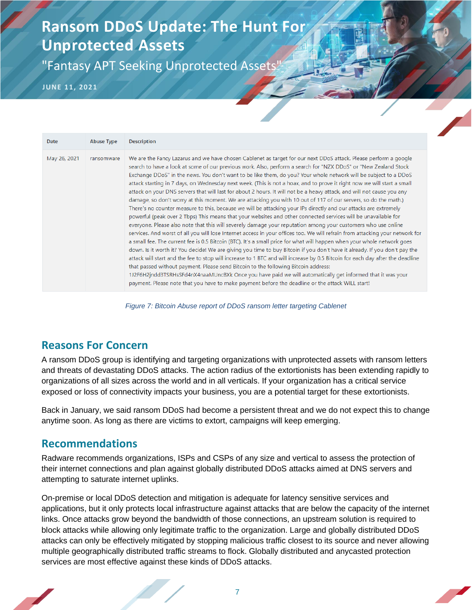"Fantasy APT Seeking Unprotected Assets'

**JUNE 11, 2021**

| Date         | <b>Abuse Type</b> | <b>Description</b>                                                                                                                                                                                                                                                                                                                                                                                                                                                                                                                                                                                                                                                                                                                                                                                                                                                                                                                                                                                                                                                                                                                                                                                                                                                                                                                                                                                                                                                                                                                                                                                                                                                                                                                                                                                                                                                                                                       |
|--------------|-------------------|--------------------------------------------------------------------------------------------------------------------------------------------------------------------------------------------------------------------------------------------------------------------------------------------------------------------------------------------------------------------------------------------------------------------------------------------------------------------------------------------------------------------------------------------------------------------------------------------------------------------------------------------------------------------------------------------------------------------------------------------------------------------------------------------------------------------------------------------------------------------------------------------------------------------------------------------------------------------------------------------------------------------------------------------------------------------------------------------------------------------------------------------------------------------------------------------------------------------------------------------------------------------------------------------------------------------------------------------------------------------------------------------------------------------------------------------------------------------------------------------------------------------------------------------------------------------------------------------------------------------------------------------------------------------------------------------------------------------------------------------------------------------------------------------------------------------------------------------------------------------------------------------------------------------------|
| May 26, 2021 | ransomware        | We are the Fancy Lazarus and we have chosen Cablenet as target for our next DDoS attack. Please perform a google<br>search to have a look at some of our previous work. Also, perform a search for "NZX DDoS" or "New Zealand Stock<br>Exchange DDoS" in the news. You don't want to be like them, do you? Your whole network will be subject to a DDoS<br>attack starting in 7 days, on Wednesday next week. (This is not a hoax, and to prove it right now we will start a small<br>attack on your DNS servers that will last for about 2 hours. It will not be a heavy attack, and will not cause you any<br>damage, so don't worry at this moment. We are attacking you with 10 out of 117 of our servers, so do the math.)<br>There's no counter measure to this, because we will be attacking your IPs directly and our attacks are extremely<br>powerful (peak over 2 Tbps) This means that your websites and other connected services will be unavailable for<br>everyone. Please also note that this will severely damage your reputation among your customers who use online<br>services. And worst of all you will lose Internet access in your offices too. We will refrain from attacking your network for<br>a small fee. The current fee is 0.5 Bitcoin (BTC). It's a small price for what will happen when your whole network goes<br>down. Is it worth it? You decide! We are giving you time to buy Bitcoin if you don't have it already. If you don't pay the<br>attack will start and the fee to stop will increase to 1 BTC and will increase by 0.5 Bitcoin for each day after the deadline<br>that passed without payment. Please send Bitcoin to the following Bitcoin address:<br>1J2F6H2jndd3TSRHsSFd4nX4naaMUncBXk Once you have paid we will automatically get informed that it was your<br>payment. Please note that you have to make payment before the deadline or the attack WILL start! |

*Figure 7: Bitcoin Abuse report of DDoS ransom letter targeting Cablenet*

### **Reasons For Concern**

A ransom DDoS group is identifying and targeting organizations with unprotected assets with ransom letters and threats of devastating DDoS attacks. The action radius of the extortionists has been extending rapidly to organizations of all sizes across the world and in all verticals. If your organization has a critical service exposed or loss of connectivity impacts your business, you are a potential target for these extortionists.

Back in January, we said ransom DDoS had become a persistent threat and we do not expect this to change anytime soon. As long as there are victims to extort, campaigns will keep emerging.

### **Recommendations**

Radware recommends organizations, ISPs and CSPs of any size and vertical to assess the protection of their internet connections and plan against globally distributed DDoS attacks aimed at DNS servers and attempting to saturate internet uplinks.

On-premise or local DDoS detection and mitigation is adequate for latency sensitive services and applications, but it only protects local infrastructure against attacks that are below the capacity of the internet links. Once attacks grow beyond the bandwidth of those connections, an upstream solution is required to block attacks while allowing only legitimate traffic to the organization. Large and globally distributed DDoS attacks can only be effectively mitigated by stopping malicious traffic closest to its source and never allowing multiple geographically distributed traffic streams to flock. Globally distributed and anycasted protection services are most effective against these kinds of DDoS attacks.

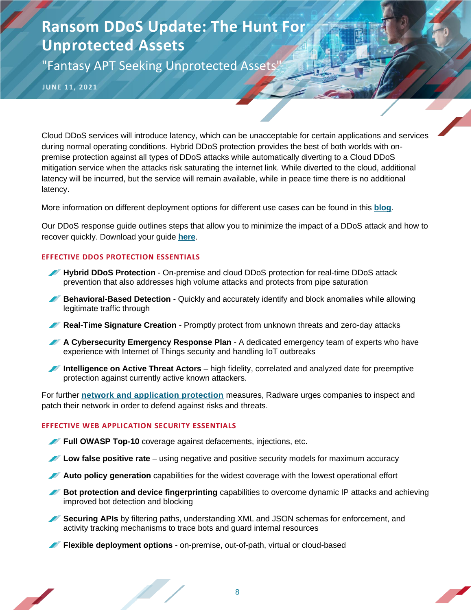"Fantasy APT Seeking Unprotected Assets"

**JUNE 11, 2021**

Cloud DDoS services will introduce latency, which can be unacceptable for certain applications and services during normal operating conditions. Hybrid DDoS protection provides the best of both worlds with onpremise protection against all types of DDoS attacks while automatically diverting to a Cloud DDoS mitigation service when the attacks risk saturating the internet link. While diverted to the cloud, additional latency will be incurred, but the service will remain available, while in peace time there is no additional latency.

More information on different deployment options for different use cases can be found in this **[blog](https://blog.radware.com/security/ddos/2020/12/on-demand-always-on-or-hybrid-well-it-depends-on-the-use-case/)**.

Our DDoS response guide outlines steps that allow you to minimize the impact of a DDoS attack and how to recover quickly. Download your guide **[here](https://blog.radware.com/campaign/2021/01/ddos-response-guide/)**.

### **EFFECTIVE DDOS PROTECTION ESSENTIALS**

- **Hybrid DDoS Protection** On-premise and [cloud DDoS protection](https://www.radware.com/products/cloud-ddos-services/) for real-time [DDoS attack](https://www.radware.com/solutions/security/)  [prevention](https://www.radware.com/solutions/security/) that also addresses high volume attacks and protects from pipe saturation
- **Behavioral-Based Detection** Quickly and accurately identify and block anomalies while allowing legitimate traffic through
- **Real-Time Signature Creation** Promptly protect from unknown threats and zero-day attacks
- **A Cybersecurity Emergency Response Plan** A dedicated emergency team of experts who have experience with Internet of Things security and handling IoT outbreaks
- **Intelligence on Active Threat Actors** high fidelity, correlated and analyzed date for preemptive protection against currently active known attackers.

For further **[network and application protection](https://www.radware.com/solutions/ddos-protection/)** measures, Radware urges companies to inspect and patch their network in order to defend against risks and threats.

### **EFFECTIVE WEB APPLICATION SECURITY ESSENTIALS**

- **Full OWASP Top-10** coverage against defacements, injections, etc.
- **Low false positive rate** using negative and positive security models for maximum accuracy
- **Auto policy generation** capabilities for the widest coverage with the lowest operational effort
- **Bot protection and device fingerprinting** capabilities to overcome dynamic IP attacks and achieving improved bot detection and blocking
- **Securing APIs** by filtering paths, understanding XML and JSON schemas for enforcement, and activity tracking mechanisms to trace bots and guard internal resources

**Flexible deployment options** - on-premise, out-of-path, virtual or cloud-based